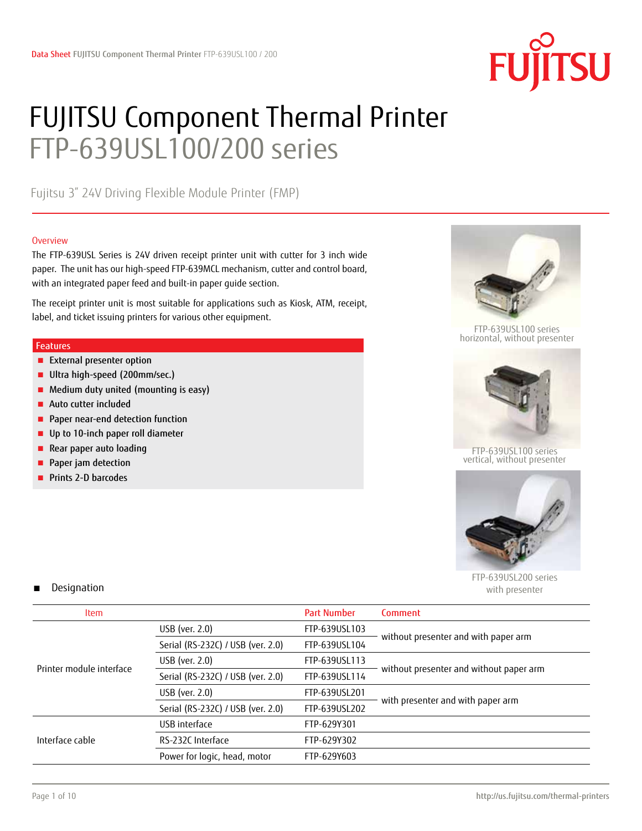

# FUJITSU Component Thermal Printer FTP-639USL100/200 series

Fujitsu 3" 24V Driving Flexible Module Printer (FMP)

#### **Overview**

The FTP-639USL Series is 24V driven receipt printer unit with cutter for 3 inch wide paper. The unit has our high-speed FTP-639MCL mechanism, cutter and control board, with an integrated paper feed and built-in paper guide section.

The receipt printer unit is most suitable for applications such as Kiosk, ATM, receipt, label, and ticket issuing printers for various other equipment.

#### Features

- External presenter option
- Ultra high-speed (200mm/sec.)
- Medium duty united (mounting is easy)
- Auto cutter included
- Paper near-end detection function
- Up to 10-inch paper roll diameter
- Rear paper auto loading
- Paper jam detection
- Prints 2-D barcodes



FTP-639USL100 series horizontal, without presenter



FTP-639USL100 series vertical, without presenter



FTP-639USL200 series with presenter

## Designation

| <b>Item</b>              |                                   | <b>Part Number</b> | Comment                                 |
|--------------------------|-----------------------------------|--------------------|-----------------------------------------|
|                          | USB (ver. 2.0)                    | FTP-639USL103      |                                         |
|                          | Serial (RS-232C) / USB (ver. 2.0) | FTP-639USL104      | without presenter and with paper arm    |
| Printer module interface | USB (ver. $2.0$ )                 | FTP-639USL113      |                                         |
|                          | Serial (RS-232C) / USB (ver. 2.0) | FTP-639USL114      | without presenter and without paper arm |
|                          | USB (ver. 2.0)                    | FTP-639USL201      |                                         |
|                          | Serial (RS-232C) / USB (ver. 2.0) | FTP-639USL202      | with presenter and with paper arm       |
|                          | USB interface                     | FTP-629Y301        |                                         |
| Interface cable          | RS-232C Interface                 | FTP-629Y302        |                                         |
|                          | Power for logic, head, motor      | FTP-629Y603        |                                         |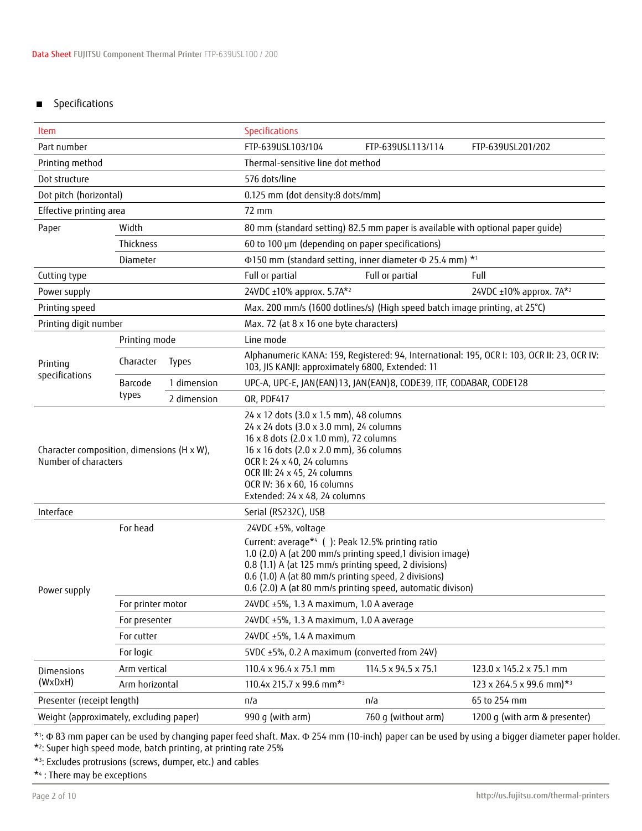# ■ Specifications

| Item                                                               |                   |                                                                                                                                                                                                                                                                                                                    | Specifications                                                                 |                     |                                                                                             |  |  |
|--------------------------------------------------------------------|-------------------|--------------------------------------------------------------------------------------------------------------------------------------------------------------------------------------------------------------------------------------------------------------------------------------------------------------------|--------------------------------------------------------------------------------|---------------------|---------------------------------------------------------------------------------------------|--|--|
| Part number                                                        |                   |                                                                                                                                                                                                                                                                                                                    | FTP-639USL103/104<br>FTP-639USL201/202<br>FTP-639USL113/114                    |                     |                                                                                             |  |  |
| Printing method                                                    |                   |                                                                                                                                                                                                                                                                                                                    | Thermal-sensitive line dot method                                              |                     |                                                                                             |  |  |
| Dot structure                                                      |                   |                                                                                                                                                                                                                                                                                                                    | 576 dots/line                                                                  |                     |                                                                                             |  |  |
| Dot pitch (horizontal)                                             |                   |                                                                                                                                                                                                                                                                                                                    | 0.125 mm (dot density:8 dots/mm)                                               |                     |                                                                                             |  |  |
| Effective printing area                                            |                   |                                                                                                                                                                                                                                                                                                                    | 72 mm                                                                          |                     |                                                                                             |  |  |
| Width<br>Paper                                                     |                   |                                                                                                                                                                                                                                                                                                                    | 80 mm (standard setting) 82.5 mm paper is available with optional paper quide) |                     |                                                                                             |  |  |
|                                                                    | Thickness         |                                                                                                                                                                                                                                                                                                                    | 60 to 100 µm (depending on paper specifications)                               |                     |                                                                                             |  |  |
|                                                                    | Diameter          |                                                                                                                                                                                                                                                                                                                    | Φ150 mm (standard setting, inner diameter Φ 25.4 mm) * <sup>1</sup>            |                     |                                                                                             |  |  |
| Cutting type                                                       |                   |                                                                                                                                                                                                                                                                                                                    | Full or partial                                                                | Full or partial     | Full                                                                                        |  |  |
| Power supply                                                       |                   |                                                                                                                                                                                                                                                                                                                    | 24VDC ±10% approx. 5.7A*2                                                      |                     | 24VDC ±10% approx. 7A*2                                                                     |  |  |
| Printing speed                                                     |                   |                                                                                                                                                                                                                                                                                                                    | Max. 200 mm/s (1600 dotlines/s) (High speed batch image printing, at 25°C)     |                     |                                                                                             |  |  |
| Printing digit number                                              |                   |                                                                                                                                                                                                                                                                                                                    | Max. 72 (at 8 x 16 one byte characters)                                        |                     |                                                                                             |  |  |
|                                                                    | Printing mode     |                                                                                                                                                                                                                                                                                                                    | Line mode                                                                      |                     |                                                                                             |  |  |
| Printing                                                           | Character         | <b>Types</b>                                                                                                                                                                                                                                                                                                       | 103, JIS KANJI: approximately 6800, Extended: 11                               |                     | Alphanumeric KANA: 159, Registered: 94, International: 195, OCR I: 103, OCR II: 23, OCR IV: |  |  |
| specifications                                                     | Barcode           | 1 dimension                                                                                                                                                                                                                                                                                                        | UPC-A, UPC-E, JAN(EAN)13, JAN(EAN)8, CODE39, ITF, CODABAR, CODE128             |                     |                                                                                             |  |  |
|                                                                    | types             | 2 dimension                                                                                                                                                                                                                                                                                                        | QR, PDF417                                                                     |                     |                                                                                             |  |  |
| Character composition, dimensions (H x W),<br>Number of characters |                   | 24 x 12 dots (3.0 x 1.5 mm), 48 columns<br>24 x 24 dots (3.0 x 3.0 mm), 24 columns<br>16 x 8 dots (2.0 x 1.0 mm), 72 columns<br>16 x 16 dots (2.0 x 2.0 mm), 36 columns<br>OCR I: 24 x 40, 24 columns<br>OCR III: 24 x 45, 24 columns<br>OCR IV: 36 x 60, 16 columns<br>Extended: 24 x 48, 24 columns              |                                                                                |                     |                                                                                             |  |  |
| Interface                                                          |                   |                                                                                                                                                                                                                                                                                                                    | Serial (RS232C), USB                                                           |                     |                                                                                             |  |  |
| For head<br>Power supply                                           |                   | 24VDC ±5%, voltage<br>Current: average*4 (): Peak 12.5% printing ratio<br>1.0 (2.0) A (at 200 mm/s printing speed,1 division image)<br>0.8 (1.1) A (at 125 mm/s printing speed, 2 divisions)<br>0.6 (1.0) A (at 80 mm/s printing speed, 2 divisions)<br>0.6 (2.0) A (at 80 mm/s printing speed, automatic divison) |                                                                                |                     |                                                                                             |  |  |
|                                                                    | For printer motor |                                                                                                                                                                                                                                                                                                                    | 24VDC ±5%, 1.3 A maximum, 1.0 A average                                        |                     |                                                                                             |  |  |
|                                                                    | For presenter     |                                                                                                                                                                                                                                                                                                                    | 24VDC ±5%, 1.3 A maximum, 1.0 A average                                        |                     |                                                                                             |  |  |
|                                                                    | For cutter        |                                                                                                                                                                                                                                                                                                                    | 24VDC ±5%, 1.4 A maximum                                                       |                     |                                                                                             |  |  |
|                                                                    | For logic         |                                                                                                                                                                                                                                                                                                                    | 5VDC ±5%, 0.2 A maximum (converted from 24V)                                   |                     |                                                                                             |  |  |
| Dimensions                                                         | Arm vertical      |                                                                                                                                                                                                                                                                                                                    | 110.4 x 96.4 x 75.1 mm                                                         | 114.5 x 94.5 x 75.1 | 123.0 x 145.2 x 75.1 mm                                                                     |  |  |
| (WxDxH)                                                            | Arm horizontal    |                                                                                                                                                                                                                                                                                                                    | 110.4x 215.7 x 99.6 mm*3                                                       |                     | $123 \times 264.5 \times 99.6$ mm) <sup>*3</sup>                                            |  |  |
| Presenter (receipt length)                                         |                   |                                                                                                                                                                                                                                                                                                                    | n/a                                                                            | n/a                 | 65 to 254 mm                                                                                |  |  |
| Weight (approximately, excluding paper)                            |                   |                                                                                                                                                                                                                                                                                                                    | 990 g (with arm)                                                               | 760 g (without arm) | 1200 g (with arm & presenter)                                                               |  |  |

\*1 : Φ 83 mm paper can be used by changing paper feed shaft. Max. Φ 254 mm (10-inch) paper can be used by using a bigger diameter paper holder.

\*2 : Super high speed mode, batch printing, at printing rate 25%

\*3 : Excludes protrusions (screws, dumper, etc.) and cables

\*4 : There may be exceptions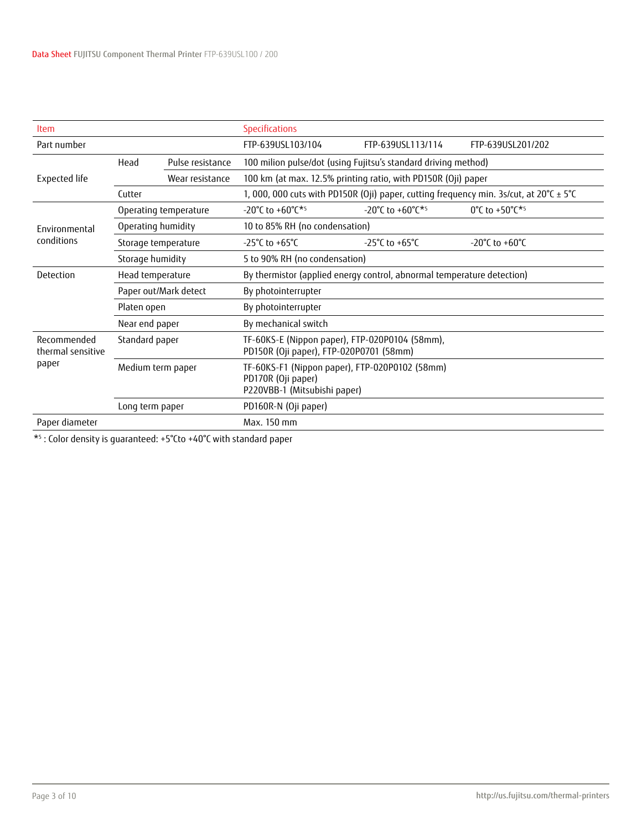| <b>Item</b>                      | <b>Specifications</b> |                       |                                                                                                      |                                                                                        |                   |  |  |  |
|----------------------------------|-----------------------|-----------------------|------------------------------------------------------------------------------------------------------|----------------------------------------------------------------------------------------|-------------------|--|--|--|
| Part number                      |                       |                       | FTP-639USL103/104                                                                                    | FTP-639USL113/114                                                                      | FTP-639USL201/202 |  |  |  |
|                                  | Head                  | Pulse resistance      | 100 milion pulse/dot (using Fujitsu's standard driving method)                                       |                                                                                        |                   |  |  |  |
| Expected life                    |                       | Wear resistance       | 100 km (at max. 12.5% printing ratio, with PD150R (Oji) paper                                        |                                                                                        |                   |  |  |  |
|                                  | Cutter                |                       |                                                                                                      | 1, 000, 000 cuts with PD150R (Oji) paper, cutting frequency min. 3s/cut, at 20°C ± 5°C |                   |  |  |  |
|                                  |                       | Operating temperature | -20°C to +60°C*5                                                                                     | $-20^{\circ}$ C to $+60^{\circ}$ C <sup>*5</sup>                                       | 0°C to +50°C*5    |  |  |  |
| Environmental<br>conditions      | Operating humidity    |                       | 10 to 85% RH (no condensation)                                                                       |                                                                                        |                   |  |  |  |
|                                  | Storage temperature   |                       | -25°C to +65°C                                                                                       | $-25^{\circ}$ C to $+65^{\circ}$ C                                                     | -20°C to +60°C    |  |  |  |
|                                  | Storage humidity      |                       | 5 to 90% RH (no condensation)                                                                        |                                                                                        |                   |  |  |  |
| Detection                        | Head temperature      |                       | By thermistor (applied energy control, abnormal temperature detection)                               |                                                                                        |                   |  |  |  |
|                                  |                       | Paper out/Mark detect | By photointerrupter                                                                                  |                                                                                        |                   |  |  |  |
|                                  | Platen open           |                       | By photointerrupter                                                                                  |                                                                                        |                   |  |  |  |
|                                  | Near end paper        |                       | By mechanical switch                                                                                 |                                                                                        |                   |  |  |  |
| Recommended<br>thermal sensitive | Standard paper        |                       | TF-60KS-E (Nippon paper), FTP-020P0104 (58mm),<br>PD150R (Oji paper), FTP-020P0701 (58mm)            |                                                                                        |                   |  |  |  |
| paper                            | Medium term paper     |                       | TF-60KS-F1 (Nippon paper), FTP-020P0102 (58mm)<br>PD170R (Oji paper)<br>P220VBB-1 (Mitsubishi paper) |                                                                                        |                   |  |  |  |
|                                  | Long term paper       |                       | PD160R-N (Oji paper)                                                                                 |                                                                                        |                   |  |  |  |
| Paper diameter                   |                       |                       | Max. 150 mm                                                                                          |                                                                                        |                   |  |  |  |
|                                  |                       |                       |                                                                                                      |                                                                                        |                   |  |  |  |

\*5 : Color density is guaranteed: +5°Cto +40°C with standard paper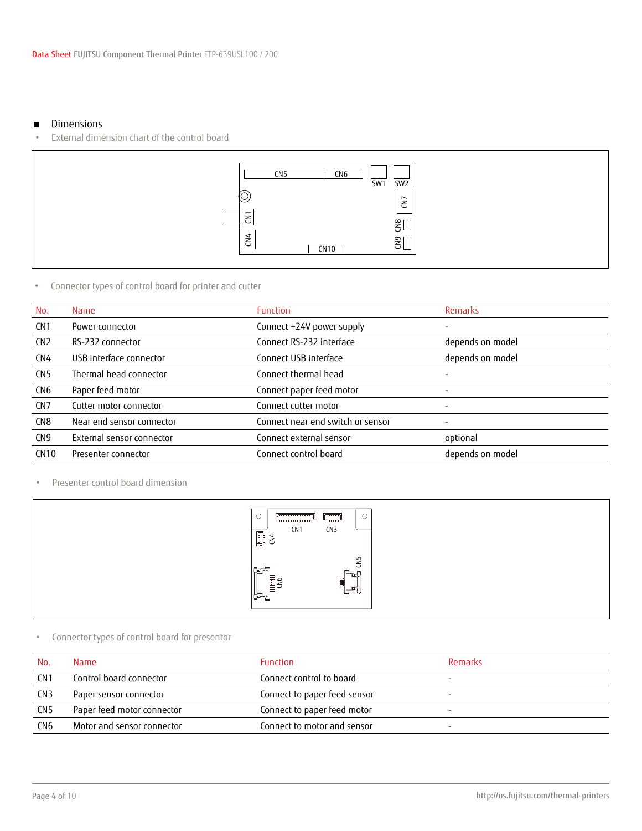#### ■ Dimensions

External dimension chart of the control board



## • Connector types of control board for printer and cutter

| No.             | <b>Name</b>               | <b>Function</b>                   | <b>Remarks</b>   |
|-----------------|---------------------------|-----------------------------------|------------------|
| CN <sub>1</sub> | Power connector           | Connect +24V power supply         |                  |
| CN <sub>2</sub> | RS-232 connector          | Connect RS-232 interface          | depends on model |
| CN <sub>4</sub> | USB interface connector   | Connect USB interface             | depends on model |
| CN <sub>5</sub> | Thermal head connector    | Connect thermal head              |                  |
| CN <sub>6</sub> | Paper feed motor          | Connect paper feed motor          | Ξ.               |
| CN <sub>7</sub> | Cutter motor connector    | Connect cutter motor              | Ξ.               |
| CN <sub>8</sub> | Near end sensor connector | Connect near end switch or sensor |                  |
| CN <sub>9</sub> | External sensor connector | Connect external sensor           | optional         |
| <b>CN10</b>     | Presenter connector       | Connect control board             | depends on model |
|                 |                           |                                   |                  |

• Presenter control board dimension

| green contracting<br><del>"</del><br>CN <sub>1</sub><br>圓<br>1 | f<br>◡<br><del>ا سىنى</del><br>CN3                            |  |
|----------------------------------------------------------------|---------------------------------------------------------------|--|
| <b>Travello</b><br>صا<br><b>DRE</b><br>ᆖ<br>宝                  | CN5<br>$\overline{\phantom{a}}$<br>can ser<br>畐<br>--<br>- 67 |  |

# • Connector types of control board for presentor

| No.             | <b>Name</b>                | <b>Function</b>              | Remarks |
|-----------------|----------------------------|------------------------------|---------|
| CN <sub>1</sub> | Control board connector    | Connect control to board     |         |
| CN <sub>3</sub> | Paper sensor connector     | Connect to paper feed sensor |         |
| CN <sub>5</sub> | Paper feed motor connector | Connect to paper feed motor  |         |
| CN <sub>6</sub> | Motor and sensor connector | Connect to motor and sensor  |         |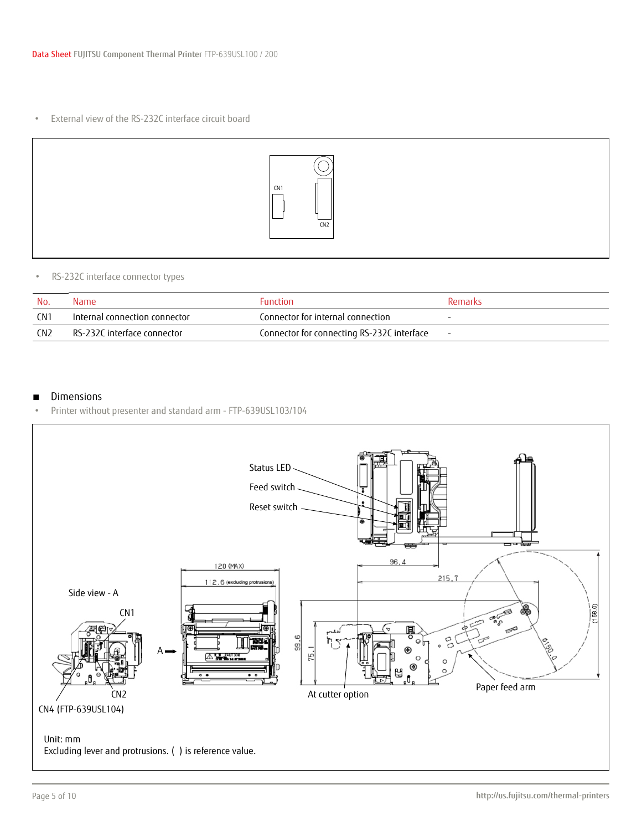• External view of the RS-232C interface circuit board



## • RS-232C interface connector types

| No.             | <b>Name</b>                   | <b>Function</b>                            | Remarks |
|-----------------|-------------------------------|--------------------------------------------|---------|
| CN 1            | Internal connection connector | Connector for internal connection          | $\sim$  |
| CN <sub>2</sub> | RS-232C interface connector   | Connector for connecting RS-232C interface | $\sim$  |

## ■ Dimensions

• Printer without presenter and standard arm - FTP-639USL103/104

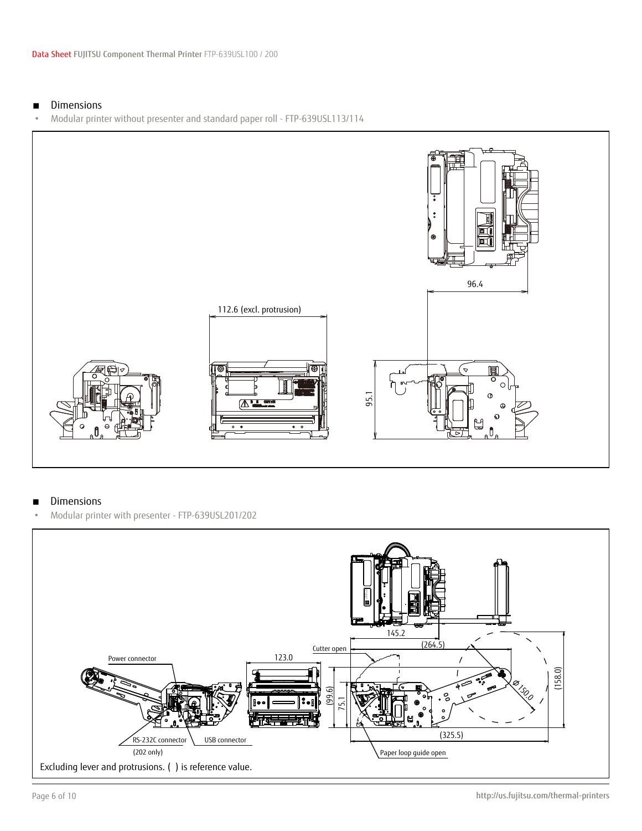## ■ Dimensions

• Modular printer without presenter and standard paper roll - FTP-639USL113/114



## ■ Dimensions

• Modular printer with presenter - FTP-639USL201/202

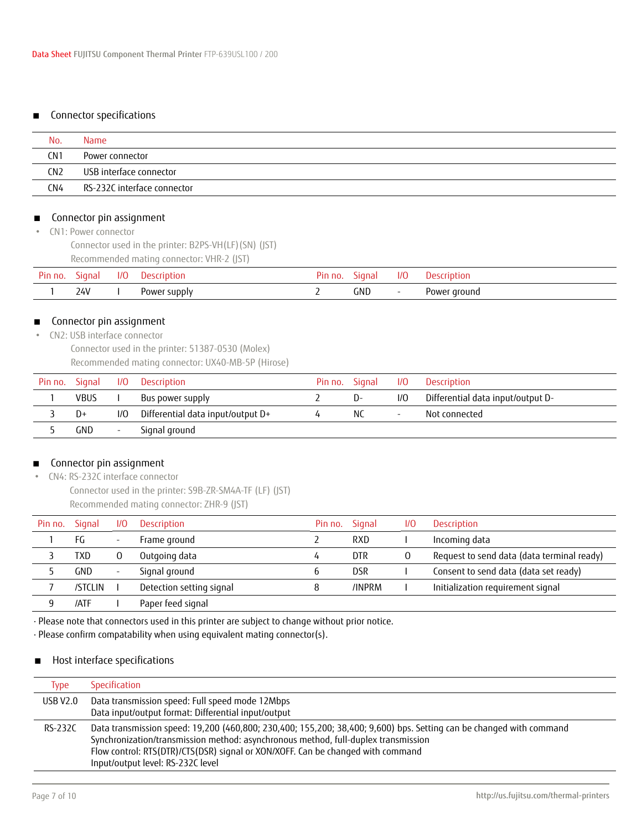## ■ Connector specifications

| No.             | Name                        |
|-----------------|-----------------------------|
| CN <sub>1</sub> | Power connector             |
| CN <sub>2</sub> | USB interface connector     |
| CN4             | RS-232C interface connector |

#### ■ Connector pin assignment

• CN1: Power connector

Connector used in the printer: B2PS-VH(LF)(SN) (JST) Recommended mating connector: VHR-2 (JST)

| Pin<br>⊢no. | Sianal     | 1/0 | :cription<br>JASI | חו <sup>ט</sup> . חו | sıana      | 1/C | :rintior     |
|-------------|------------|-----|-------------------|----------------------|------------|-----|--------------|
|             | 24V<br>- - |     | Power supply      |                      | <b>GND</b> |     | Power ground |

## ■ Connector pin assignment

 • CN2: USB interface connector Connector used in the printer: 51387-0530 (Molex) Recommended mating connector: UX40-MB-5P (Hirose)

| Pin no. Signal |             |        | I/O Description                   | Pin no. Signal |     |                          | I/O Description                   |
|----------------|-------------|--------|-----------------------------------|----------------|-----|--------------------------|-----------------------------------|
|                | <b>VBUS</b> |        | Bus power supply                  |                | D-  | 1/0                      | -Differential data input/output D |
|                | D+          | I/O    | Differential data input/output D+ |                | NC. | $\overline{\phantom{a}}$ | Not connected                     |
|                | GND         | $\sim$ | Signal ground                     |                |     |                          |                                   |

## ■ Connector pin assignment

• CN4: RS-232C interface connector

Connector used in the printer: S9B-ZR-SM4A-TF (LF) (JST) Recommended mating connector: ZHR-9 (JST)

| Pin no. | Signal  | 1/0                      | Description              | Pin no. | Sianal     | 1/0 | Description                                |
|---------|---------|--------------------------|--------------------------|---------|------------|-----|--------------------------------------------|
|         | FG      | $\overline{\phantom{0}}$ | Frame ground             |         | RXD        |     | Incoming data                              |
|         | TXD     |                          | Outgoing data            | 4       | <b>DTR</b> | 0   | Request to send data (data terminal ready) |
|         | GND     | $\overline{\phantom{a}}$ | Signal ground            | b       | <b>DSR</b> |     | Consent to send data (data set ready)      |
|         | /STCLIN |                          | Detection setting signal | 8       | /INPRM     |     | Initialization requirement signal          |
|         | /ATF    |                          | Paper feed signal        |         |            |     |                                            |

· Please note that connectors used in this printer are subject to change without prior notice.

· Please confirm compatability when using equivalent mating connector(s).

## ■ Host interface specifications

| Type     | Specification                                                                                                                                                                                                                                                                                                                     |
|----------|-----------------------------------------------------------------------------------------------------------------------------------------------------------------------------------------------------------------------------------------------------------------------------------------------------------------------------------|
| USB V2.0 | Data transmission speed: Full speed mode 12Mbps<br>Data input/output format: Differential input/output                                                                                                                                                                                                                            |
| RS-232C  | Data transmission speed: 19,200 (460,800; 230,400; 155,200; 38,400; 9,600) bps. Setting can be changed with command<br>Synchronization/transmission method: asynchronous method, full-duplex transmission<br>Flow control: RTS(DTR)/CTS(DSR) signal or XON/XOFF. Can be changed with command<br>Input/output level: RS-232C level |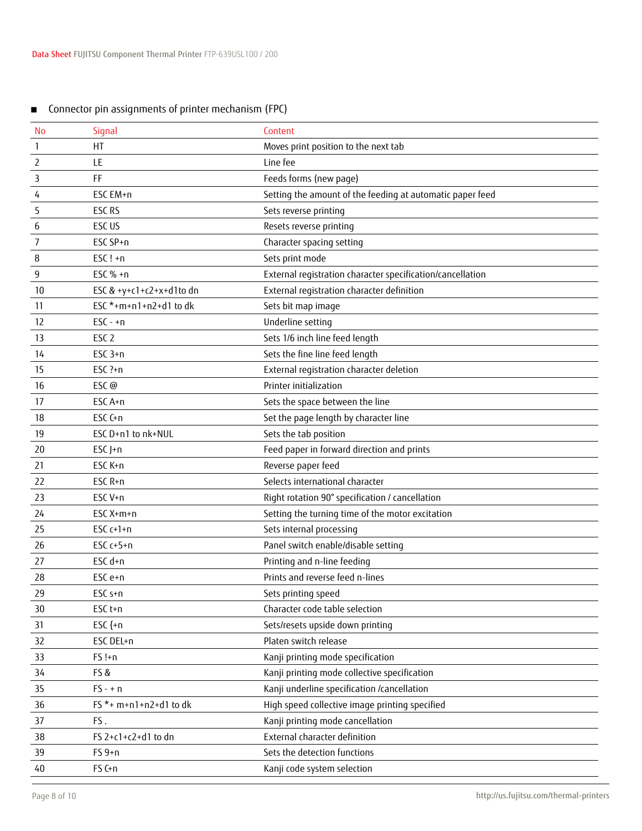| <b>No</b>      | Signal                   | Content                                                    |
|----------------|--------------------------|------------------------------------------------------------|
| $\mathbf{1}$   | HT                       | Moves print position to the next tab                       |
| $\overline{2}$ | LE                       | Line fee                                                   |
| 3              | FF                       | Feeds forms (new page)                                     |
| 4              | ESC EM+n                 | Setting the amount of the feeding at automatic paper feed  |
| 5              | ESC RS                   | Sets reverse printing                                      |
| 6              | ESC US                   | Resets reverse printing                                    |
| 7              | ESC SP+n                 | Character spacing setting                                  |
| 8              | $ESC! + n$               | Sets print mode                                            |
| 9              | ESC $% +n$               | External registration character specification/cancellation |
| 10             | ESC & +y+c1+c2+x+d1to dn | External registration character definition                 |
| 11             | ESC *+m+n1+n2+d1 to dk   | Sets bit map image                                         |
| 12             | $ESC - n$                | Underline setting                                          |
| 13             | ESC <sub>2</sub>         | Sets 1/6 inch line feed length                             |
| 14             | $ESC$ 3+n                | Sets the fine line feed length                             |
| 15             | $ESC$ ?+ $n$             | External registration character deletion                   |
| 16             | ESC@                     | Printer initialization                                     |
| 17             | ESC A+n                  | Sets the space between the line                            |
| 18             | ESC C+n                  | Set the page length by character line                      |
| 19             | ESC D+n1 to nk+NUL       | Sets the tab position                                      |
| 20             | $ESCJ+n$                 | Feed paper in forward direction and prints                 |
| 21             | ESC K+n                  | Reverse paper feed                                         |
| 22             | ESC R+n                  | Selects international character                            |
| 23             | ESC V+n                  | Right rotation 90° specification / cancellation            |
| 24             | ESC X+m+n                | Setting the turning time of the motor excitation           |
| 25             | ESC $c+1+n$              | Sets internal processing                                   |
| 26             | ESC $c+5+n$              | Panel switch enable/disable setting                        |
| 27             | ESC d+n                  | Printing and n-line feeding                                |
| 28             | ESC e+n                  | Prints and reverse feed n-lines                            |
| 29             | ESC s+n                  | Sets printing speed                                        |
| 30             | ESC <sub>t+n</sub>       | Character code table selection                             |
| 31             | ESC ${+n}$               | Sets/resets upside down printing                           |
| 32             | ESC DEL+n                | Platen switch release                                      |
| 33             | $FS!+n$                  | Kanji printing mode specification                          |
| 34             | FS&                      | Kanji printing mode collective specification               |
| 35             | $FS - + n$               | Kanji underline specification /cancellation                |
| 36             | FS *+ m+n1+n2+d1 to dk   | High speed collective image printing specified             |
| 37             | FS.                      | Kanji printing mode cancellation                           |
| 38             | FS 2+c1+c2+d1 to dn      | External character definition                              |
| 39             | $FS 9+n$                 | Sets the detection functions                               |
| 40             | FS C+n                   | Kanji code system selection                                |

# ■ Connector pin assignments of printer mechanism (FPC)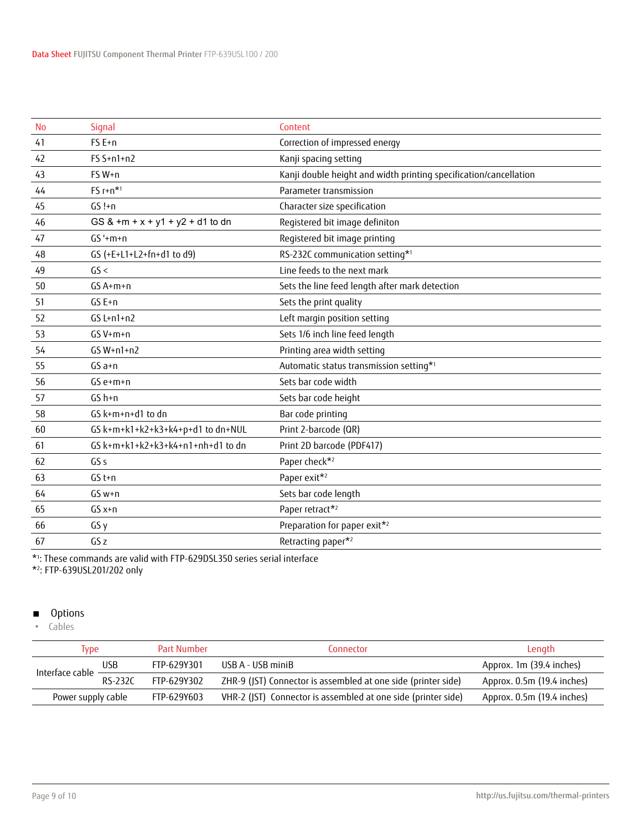| <b>No</b> | Signal                            | Content                                                           |
|-----------|-----------------------------------|-------------------------------------------------------------------|
| 41        | FS E+n                            | Correction of impressed energy                                    |
| 42        | $FS S+n1+n2$                      | Kanji spacing setting                                             |
| 43        | FS W+n                            | Kanji double height and width printing specification/cancellation |
| 44        | $FS$ $r+n*1$                      | Parameter transmission                                            |
| 45        | $GS!+n$                           | Character size specification                                      |
| 46        | GS & +m + x + y1 + y2 + d1 to dn  | Registered bit image definiton                                    |
| 47        | $GS'+m+n$                         | Registered bit image printing                                     |
| 48        | GS (+E+L1+L2+fn+d1 to d9)         | RS-232C communication setting*1                                   |
| 49        | GS <                              | Line feeds to the next mark                                       |
| 50        | GS A+m+n                          | Sets the line feed length after mark detection                    |
| 51        | GS E+n                            | Sets the print quality                                            |
| 52        | $GS L+n1+n2$                      | Left margin position setting                                      |
| 53        | $GS V+m+n$                        | Sets 1/6 inch line feed length                                    |
| 54        | $GS W+n1+n2$                      | Printing area width setting                                       |
| 55        | $GSa+n$                           | Automatic status transmission setting* <sup>1</sup>               |
| 56        | $GS e+m+n$                        | Sets bar code width                                               |
| 57        | GS h+n                            | Sets bar code height                                              |
| 58        | GS k+m+n+d1 to dn                 | Bar code printing                                                 |
| 60        | GS k+m+k1+k2+k3+k4+p+d1 to dn+NUL | Print 2-barcode (QR)                                              |
| 61        | GS k+m+k1+k2+k3+k4+n1+nh+d1 to dn | Print 2D barcode (PDF417)                                         |
| 62        | GS <sub>s</sub>                   | Paper check*2                                                     |
| 63        | $GS$ t+n                          | Paper exit*2                                                      |
| 64        | $GS w+n$                          | Sets bar code length                                              |
| 65        | $GSx+n$                           | Paper retract*2                                                   |
| 66        | GS <sub>y</sub>                   | Preparation for paper exit*2                                      |
| 67        | GS <sub>z</sub>                   | Retracting paper*2                                                |

\*1 : These commands are valid with FTP-629DSL350 series serial interface

\*2 : FTP-639USL201/202 only

# ■ Options

• Cables

| <b>Type</b>         |                | Part Number | Connector                                                     | Length                     |
|---------------------|----------------|-------------|---------------------------------------------------------------|----------------------------|
| Interface cable $-$ | <b>USB</b>     | FTP-629Y301 | USB A - USB miniB                                             | Approx. 1m (39.4 inches)   |
|                     | <b>RS-232C</b> | FTP-629Y302 | ZHR-9 (JST) Connector is assembled at one side (printer side) | Approx. 0.5m (19.4 inches) |
| Power supply cable  |                | FTP-629Y603 | VHR-2 (JST) Connector is assembled at one side (printer side) | Approx. 0.5m (19.4 inches) |